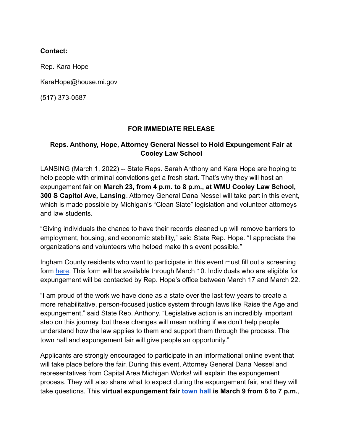## **Contact:**

Rep. Kara Hope

KaraHope@house.mi.gov

(517) 373-0587

## **FOR IMMEDIATE RELEASE**

## **Reps. Anthony, Hope, Attorney General Nessel to Hold Expungement Fair at Cooley Law School**

LANSING (March 1, 2022) -- State Reps. Sarah Anthony and Kara Hope are hoping to help people with criminal convictions get a fresh start. That's why they will host an expungement fair on **March 23, from 4 p.m. to 8 p.m., at WMU Cooley Law School, 300 S Capitol Ave, Lansing**. Attorney General Dana Nessel will take part in this event, which is made possible by Michigan's "Clean Slate" legislation and volunteer attorneys and law students.

"Giving individuals the chance to have their records cleaned up will remove barriers to employment, housing, and economic stability," said State Rep. Hope. "I appreciate the organizations and volunteers who helped make this event possible."

Ingham County residents who want to participate in this event must fill out a screening form [here](https://forms.gle/TZaAFKD9ZznFq8Cp7). This form will be available through March 10. Individuals who are eligible for expungement will be contacted by Rep. Hope's office between March 17 and March 22.

"I am proud of the work we have done as a state over the last few years to create a more rehabilitative, person-focused justice system through laws like Raise the Age and expungement," said State Rep. Anthony. "Legislative action is an incredibly important step on this journey, but these changes will mean nothing if we don't help people understand how the law applies to them and support them through the process. The town hall and expungement fair will give people an opportunity."

Applicants are strongly encouraged to participate in an informational online event that will take place before the fair. During this event, Attorney General Dana Nessel and representatives from Capital Area Michigan Works! will explain the expungement process. They will also share what to expect during the expungement fair, and they will take questions. This **virtual expungement fair [town](https://www.facebook.com/events/654850482396482) hall is March 9 from 6 to 7 p.m.**,